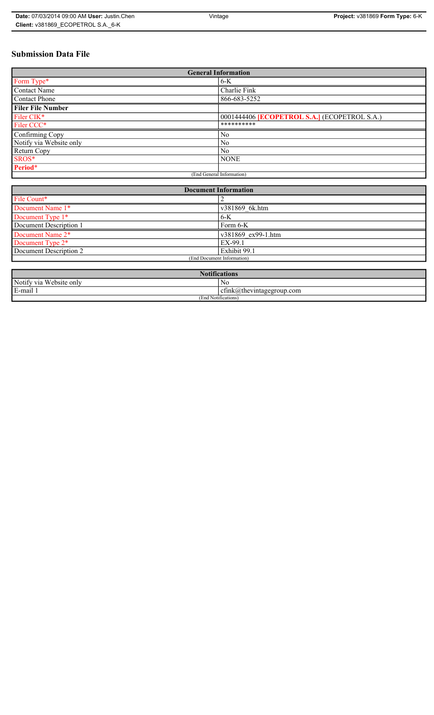# **Submission Data File**

| <b>General Information</b> |                                                     |  |
|----------------------------|-----------------------------------------------------|--|
| Form Type*                 | $6-K$                                               |  |
| <b>Contact Name</b>        | Charlie Fink                                        |  |
| <b>Contact Phone</b>       | 866-683-5252                                        |  |
| <b>Filer File Number</b>   |                                                     |  |
| Filer CIK*                 | 0001444406 <b>[ECOPETROL S.A.]</b> (ECOPETROL S.A.) |  |
| Filer CCC*                 | **********                                          |  |
| Confirming Copy            | No                                                  |  |
| Notify via Website only    | N <sub>0</sub>                                      |  |
| Return Copy                | N <sub>0</sub>                                      |  |
| SROS*                      | <b>NONE</b>                                         |  |
| Period*                    |                                                     |  |
| (End General Information)  |                                                     |  |

| <b>Document Information</b>  |                    |  |
|------------------------------|--------------------|--|
| File Count*                  |                    |  |
| Document Name 1*             | v381869 6k.htm     |  |
| Document Type 1*             | $6-K$              |  |
| Document Description 1       | Form 6-K           |  |
| Document Name 2*             | v381869 ex99-1.htm |  |
| Document Type 2 <sup>*</sup> | EX-99.1            |  |
| Document Description 2       | Exhibit 99.1       |  |
| (End Document Information)   |                    |  |
|                              |                    |  |

| <b>Notifications</b>       |                               |  |
|----------------------------|-------------------------------|--|
| Website only<br>Notify via | N0                            |  |
| E-mail 1                   | $ctnk(a)$ thevintagegroup.com |  |
| (End Notifications)        |                               |  |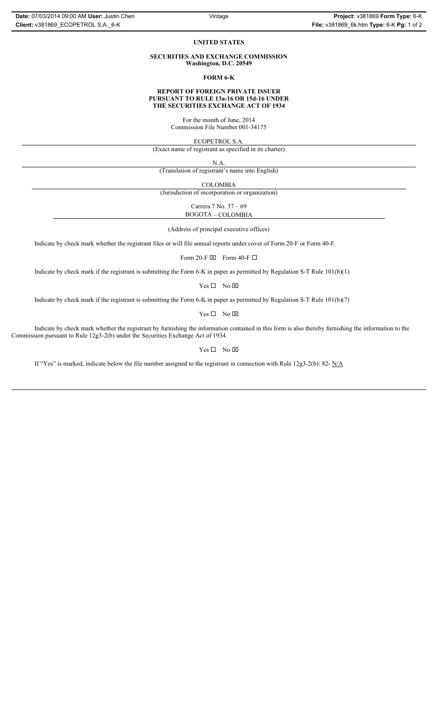### **UNITED STATES**

### **SECURITIES AND EXCHANGE COMMISSION Washington, D.C. 20549**

**FORM 6-K**

### **REPORT OF FOREIGN PRIVATE ISSUER PURSUANT TO RULE 13a-16 OR 15d-16 UNDER THE SECURITIES EXCHANGE ACT OF 1934**

For the month of June, 2014 Commission File Number 001-34175

ECOPETROL S.A.

(Exact name of registrant as specified in its charter)

N.A.

(Translation of registrant's name into English)

COLOMBIA

(Jurisdiction of incorporation or organization)

Carrera 7 No. 37 – 69 BOGOTA – COLOMBIA

(Address of principal executive offices)

Indicate by check mark whether the registrant files or will file annual reports under cover of Form 20-F or Form 40-F.

Form 20-F  $\boxtimes$  Form 40-F  $\Box$ 

Indicate by check mark if the registrant is submitting the Form 6-K in paper as permitted by Regulation S-T Rule 101(b)(1)

 $Yes \Box No \boxtimes$ 

Indicate by check mark if the registrant is submitting the Form 6-K in paper as permitted by Regulation S-T Rule 101(b)(7)

 $Yes \Box No \boxtimes$ 

Indicate by check mark whether the registrant by furnishing the information contained in this form is also thereby furnishing the information to the Commission pursuant to Rule 12g3-2(b) under the Securities Exchange Act of 1934.

 $Yes \Box No \boxtimes$ 

If "Yes" is marked, indicate below the file number assigned to the registrant in connection with Rule 12g3-2(b): 82- N/A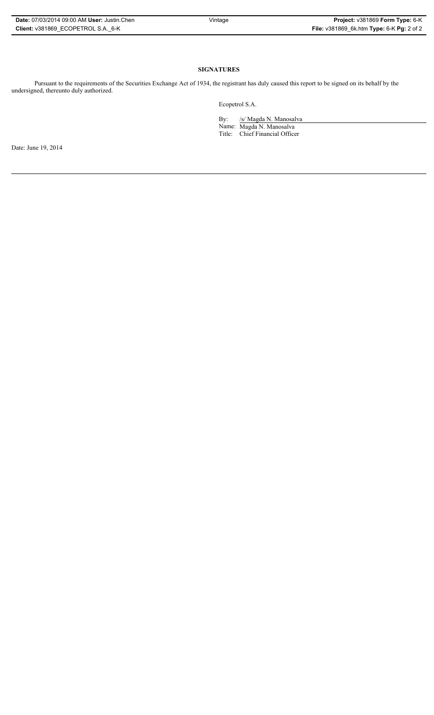| Date: 07/03/2014 09:00 AM User: Justin Chen |
|---------------------------------------------|
| Client: v381869 ECOPETROL S.A. 6-K          |

# **SIGNATURES**

Pursuant to the requirements of the Securities Exchange Act of 1934, the registrant has duly caused this report to be signed on its behalf by the undersigned, thereunto duly authorized.

Ecopetrol S.A.

By: /s/ Magda N. Manosalva Name: Magda N. Manosalva Title: Chief Financial Officer

Date: June 19, 2014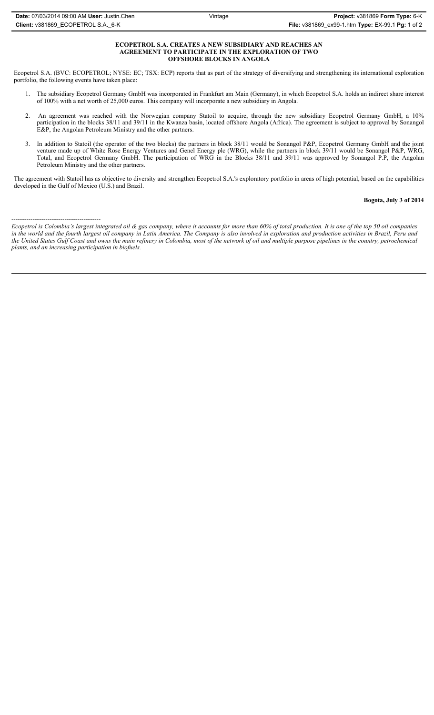### **ECOPETROL S.A. CREATES A NEW SUBSIDIARY AND REACHES AN AGREEMENT TO PARTICIPATE IN THE EXPLORATION OF TWO OFFSHORE BLOCKS IN ANGOLA**

Ecopetrol S.A. (BVC: ECOPETROL; NYSE: EC; TSX: ECP) reports that as part of the strategy of diversifying and strengthening its international exploration portfolio, the following events have taken place:

- 1. The subsidiary Ecopetrol Germany GmbH was incorporated in Frankfurt am Main (Germany), in which Ecopetrol S.A. holds an indirect share interest of 100% with a net worth of 25,000 euros. This company will incorporate a new subsidiary in Angola.
- 2. An agreement was reached with the Norwegian company Statoil to acquire, through the new subsidiary Ecopetrol Germany GmbH, a 10% participation in the blocks 38/11 and 39/11 in the Kwanza basin, located offshore Angola (Africa). The agreement is subject to approval by Sonangol E&P, the Angolan Petroleum Ministry and the other partners.
- 3. In addition to Statoil (the operator of the two blocks) the partners in block 38/11 would be Sonangol P&P, Ecopetrol Germany GmbH and the joint venture made up of White Rose Energy Ventures and Genel Energy plc (WRG), while the partners in block 39/11 would be Sonangol P&P, WRG, Total, and Ecopetrol Germany GmbH. The participation of WRG in the Blocks 38/11 and 39/11 was approved by Sonangol P.P, the Angolan Petroleum Ministry and the other partners.

The agreement with Statoil has as objective to diversity and strengthen Ecopetrol S.A.'s exploratory portfolio in areas of high potential, based on the capabilities developed in the Gulf of Mexico (U.S.) and Brazil.

## **Bogota, July 3 of 2014**

------------------------------------------ *Ecopetrol is Colombia's largest integrated oil & gas company, where it accounts for more than 60% of total production. It is one of the top 50 oil companies in the world and the fourth largest oil company in Latin America. The Company is also involved in exploration and production activities in Brazil, Peru and the United States Gulf Coast and owns the main refinery in Colombia, most of the network of oil and multiple purpose pipelines in the country, petrochemical plants, and an increasing participation in biofuels.*